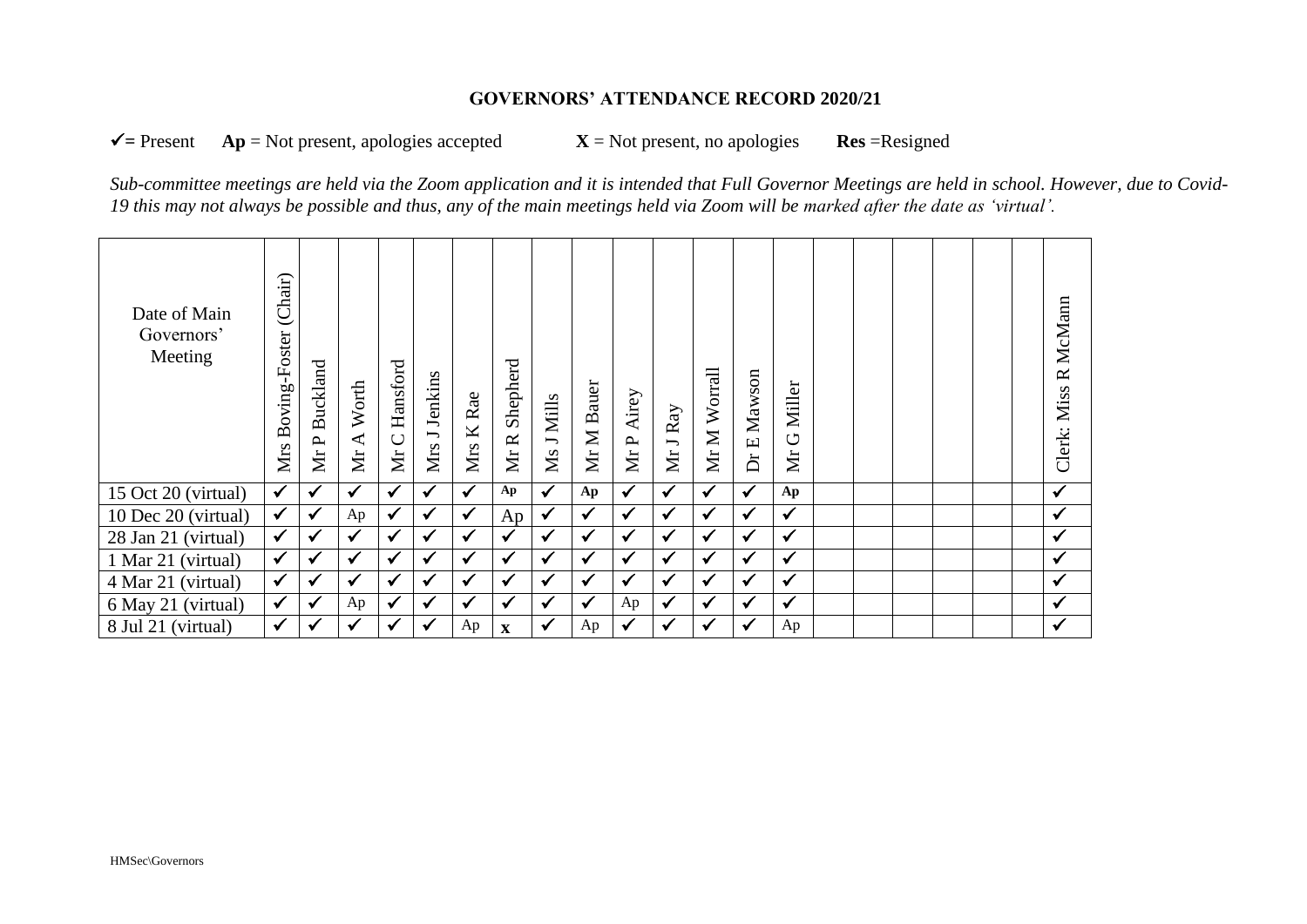## **GOVERNORS' ATTENDANCE RECORD 2020/21**

 $\checkmark$  = Present  $Ap = Not$  present, apologies accepted  $X = Not$  present, no apologies **Res** =Resigned

*Sub-committee meetings are held via the Zoom application and it is intended that Full Governor Meetings are held in school. However, due to Covid-19 this may not always be possible and thus, any of the main meetings held via Zoom will be marked after the date as 'virtual'.*

| Date of Main<br>Governors'<br>Meeting | (Chair)<br>Boving-Foster<br>Mrs | <b>Buckland</b><br>$\mathbf{p}$<br><b>Nr</b> | Worth<br>$\blacktriangleleft$<br><b>Nr</b> | Hansford<br>$\bigcup$<br>Mr | Jenkins<br>$\overline{\phantom{a}}$<br>Mrs | Rae<br>K<br>Mrs | Shepherd<br>Mr R | Ms J Mills   | Bauer<br>$\mathbf{z}$<br>$\sum$ | Airey<br>MrP | ${\rm Ray}$<br>$\overline{}$<br>Mr | Worrall<br>Mr M | Mawson<br>$\Xi$<br>ă | Miller<br>$\circ$<br><b>Nr</b> |  |  |  | R McMann<br>Miss<br>Clerk: |
|---------------------------------------|---------------------------------|----------------------------------------------|--------------------------------------------|-----------------------------|--------------------------------------------|-----------------|------------------|--------------|---------------------------------|--------------|------------------------------------|-----------------|----------------------|--------------------------------|--|--|--|----------------------------|
| 15 Oct 20 (virtual)                   | $\checkmark$                    | ✓                                            | $\checkmark$                               | $\checkmark$                | $\checkmark$                               | $\checkmark$    | Ap               | $\checkmark$ | Ap                              | $\checkmark$ | $\checkmark$                       | $\checkmark$    | $\checkmark$         | Ap                             |  |  |  | $\checkmark$               |
| 10 Dec 20 (virtual)                   | $\checkmark$                    | ✓                                            | Ap                                         | $\checkmark$                | $\checkmark$                               | $\checkmark$    | Ap               | $\checkmark$ | $\checkmark$                    | $\checkmark$ | $\checkmark$                       | $\checkmark$    | $\checkmark$         | $\checkmark$                   |  |  |  | $\checkmark$               |
| 28 Jan 21 (virtual)                   | $\checkmark$                    | ✓                                            | ✔                                          | $\checkmark$                | $\checkmark$                               | $\checkmark$    | ✔                | $\checkmark$ | ✔                               | $\checkmark$ | $\checkmark$                       | $\checkmark$    | $\checkmark$         | $\checkmark$                   |  |  |  | $\checkmark$               |
| 1 Mar 21 (virtual)                    | $\checkmark$                    | ✓                                            | $\checkmark$                               | $\checkmark$                | $\checkmark$                               | ✓               | $\checkmark$     | $\checkmark$ | $\checkmark$                    | $\checkmark$ | $\checkmark$                       | $\checkmark$    | $\checkmark$         | $\checkmark$                   |  |  |  | $\checkmark$               |
| 4 Mar 21 (virtual)                    | $\checkmark$                    | $\checkmark$                                 | $\checkmark$                               | $\checkmark$                | ✓                                          | ✔               | $\checkmark$     | $\checkmark$ | $\checkmark$                    | $\checkmark$ | $\checkmark$                       | $\checkmark$    | ✓                    | $\checkmark$                   |  |  |  | $\checkmark$               |
| 6 May 21 (virtual)                    | $\checkmark$                    | ✓                                            | Ap                                         | $\checkmark$                | $\checkmark$                               | ✔               | ✔                | $\checkmark$ | ✔                               | Ap           | $\checkmark$                       | $\checkmark$    | $\checkmark$         | $\checkmark$                   |  |  |  | $\checkmark$               |
| 8 Jul 21 (virtual)                    | $\checkmark$                    | ✔                                            | ✔                                          | ✓                           | ✔                                          | Ap              | $\mathbf X$      | $\checkmark$ | Ap                              | $\checkmark$ | ✔                                  | √               | √                    | Ap                             |  |  |  | $\checkmark$               |